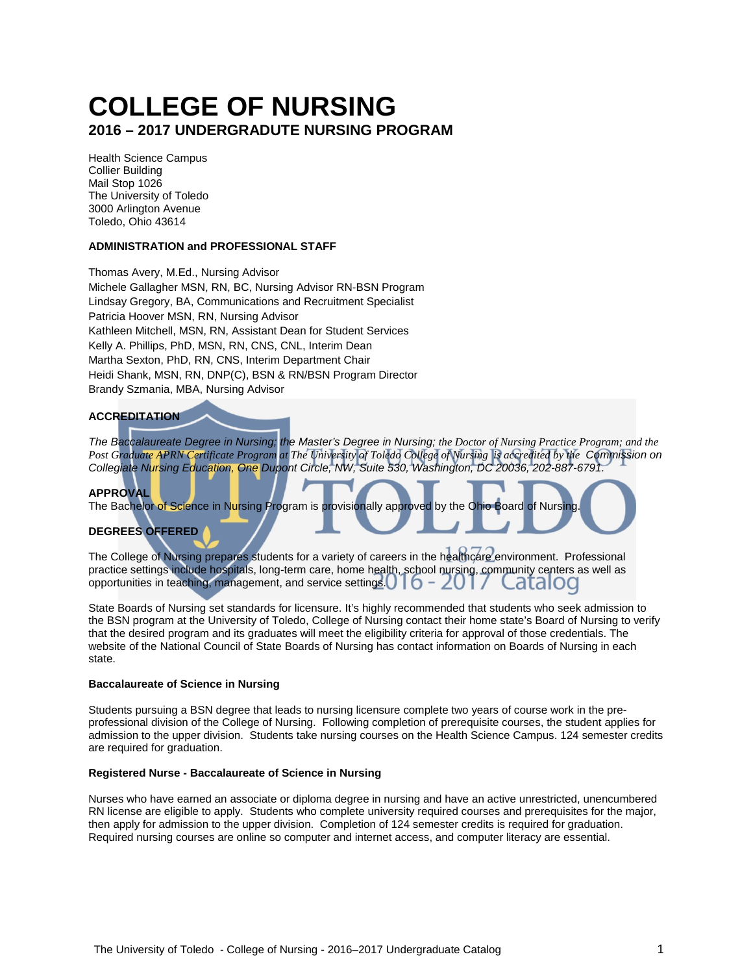# **COLLEGE OF NURSING 2016 – 2017 UNDERGRADUTE NURSING PROGRAM**

Health Science Campus Collier Building Mail Stop 1026 The University of Toledo 3000 Arlington Avenue Toledo, Ohio 43614

## **ADMINISTRATION and PROFESSIONAL STAFF**

Thomas Avery, M.Ed., Nursing Advisor Michele Gallagher MSN, RN, BC, Nursing Advisor RN-BSN Program Lindsay Gregory, BA, Communications and Recruitment Specialist Patricia Hoover MSN, RN, Nursing Advisor Kathleen Mitchell, MSN, RN, Assistant Dean for Student Services Kelly A. Phillips, PhD, MSN, RN, CNS, CNL, Interim Dean Martha Sexton, PhD, RN, CNS, Interim Department Chair Heidi Shank, MSN, RN, DNP(C), BSN & RN/BSN Program Director Brandy Szmania, MBA, Nursing Advisor

#### **ACCREDITATION**

*The Baccalaureate Degree in Nursing; the Master's Degree in Nursing; the Doctor of Nursing Practice Program; and the Post Graduate APRN Certificate Program at The University of Toledo College of Nursing is accredited by the Commission on Collegiate Nursing Education, One Dupont Circle, NW, Suite 530, Washington, DC 20036, 202-887-6791.*

#### **APPROVAL**

The Bachelor of Science in Nursing Program is provisionally approved by the Ohio Board of Nursing

## **DEGREES OFFERED**

The College of Nursing prepares students for a variety of careers in the healthcare environment. Professional practice settings include hospitals, long-term care, home health, school nursing, community centers as well as opportunities in teaching, management, and service settings.  $\begin{bmatrix} 0 & -20 \\ 1 & 0 \end{bmatrix}$ atalog

State Boards of Nursing set standards for licensure. It's highly recommended that students who seek admission to the BSN program at the University of Toledo, College of Nursing contact their home state's Board of Nursing to verify that the desired program and its graduates will meet the eligibility criteria for approval of those credentials. The website of the National Council of State Boards of Nursing has contact information on Boards of Nursing in each state.

#### **Baccalaureate of Science in Nursing**

Students pursuing a BSN degree that leads to nursing licensure complete two years of course work in the preprofessional division of the College of Nursing. Following completion of prerequisite courses, the student applies for admission to the upper division. Students take nursing courses on the Health Science Campus. 124 semester credits are required for graduation.

#### **Registered Nurse - Baccalaureate of Science in Nursing**

Nurses who have earned an associate or diploma degree in nursing and have an active unrestricted, unencumbered RN license are eligible to apply. Students who complete university required courses and prerequisites for the major, then apply for admission to the upper division. Completion of 124 semester credits is required for graduation. Required nursing courses are online so computer and internet access, and computer literacy are essential.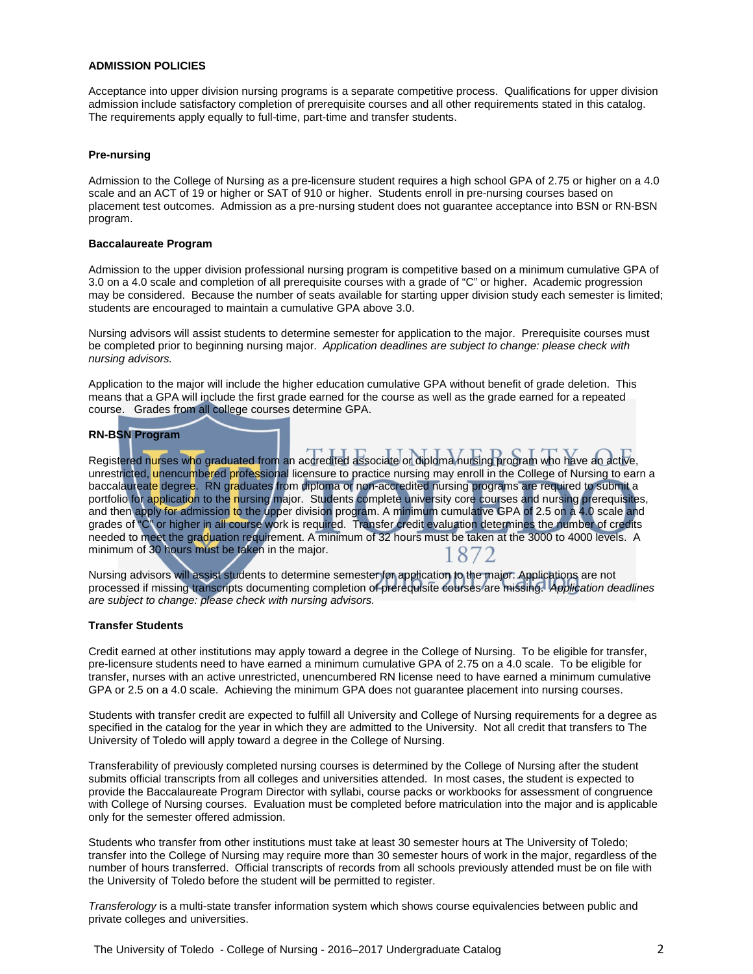#### **ADMISSION POLICIES**

Acceptance into upper division nursing programs is a separate competitive process. Qualifications for upper division admission include satisfactory completion of prerequisite courses and all other requirements stated in this catalog. The requirements apply equally to full-time, part-time and transfer students.

#### **Pre-nursing**

Admission to the College of Nursing as a pre-licensure student requires a high school GPA of 2.75 or higher on a 4.0 scale and an ACT of 19 or higher or SAT of 910 or higher. Students enroll in pre-nursing courses based on placement test outcomes. Admission as a pre-nursing student does not guarantee acceptance into BSN or RN-BSN program.

#### **Baccalaureate Program**

Admission to the upper division professional nursing program is competitive based on a minimum cumulative GPA of 3.0 on a 4.0 scale and completion of all prerequisite courses with a grade of "C" or higher. Academic progression may be considered. Because the number of seats available for starting upper division study each semester is limited; students are encouraged to maintain a cumulative GPA above 3.0.

Nursing advisors will assist students to determine semester for application to the major. Prerequisite courses must be completed prior to beginning nursing major. *Application deadlines are subject to change: please check with nursing advisors.*

Application to the major will include the higher education cumulative GPA without benefit of grade deletion. This means that a GPA will include the first grade earned for the course as well as the grade earned for a repeated course. Grades from all college courses determine GPA.

#### **RN-BSN Program**

Registered nurses who graduated from an accredited associate or diploma nursing program who have an active, unrestricted, unencumbered professional licensure to practice nursing may enroll in the College of Nursing to earn a baccalaureate degree. RN graduates from diploma or non-accredited nursing programs are required to submit a portfolio for application to the nursing major. Students complete university core courses and nursing prerequisites, and then apply for admission to the upper division program. A minimum cumulative GPA of 2.5 on a 4.0 scale and grades of "C" or higher in all course work is required. Transfer credit evaluation determines the number of credits needed to meet the graduation requirement. A minimum of 32 hours must be taken at the 3000 to 4000 levels. A minimum of 30 hours must be taken in the major. 1872

Nursing advisors will assist students to determine semester for application to the major. Applications are not processed if missing transcripts documenting completion of prerequisite courses are missing. *Application deadlines are subject to change: please check with nursing advisors.*

#### **Transfer Students**

Credit earned at other institutions may apply toward a degree in the College of Nursing. To be eligible for transfer, pre-licensure students need to have earned a minimum cumulative GPA of 2.75 on a 4.0 scale. To be eligible for transfer, nurses with an active unrestricted, unencumbered RN license need to have earned a minimum cumulative GPA or 2.5 on a 4.0 scale. Achieving the minimum GPA does not guarantee placement into nursing courses.

Students with transfer credit are expected to fulfill all University and College of Nursing requirements for a degree as specified in the catalog for the year in which they are admitted to the University. Not all credit that transfers to The University of Toledo will apply toward a degree in the College of Nursing.

Transferability of previously completed nursing courses is determined by the College of Nursing after the student submits official transcripts from all colleges and universities attended. In most cases, the student is expected to provide the Baccalaureate Program Director with syllabi, course packs or workbooks for assessment of congruence with College of Nursing courses. Evaluation must be completed before matriculation into the major and is applicable only for the semester offered admission.

Students who transfer from other institutions must take at least 30 semester hours at The University of Toledo; transfer into the College of Nursing may require more than 30 semester hours of work in the major, regardless of the number of hours transferred. Official transcripts of records from all schools previously attended must be on file with the University of Toledo before the student will be permitted to register.

*Transferology* is a multi-state transfer information system which shows course equivalencies between public and private colleges and universities.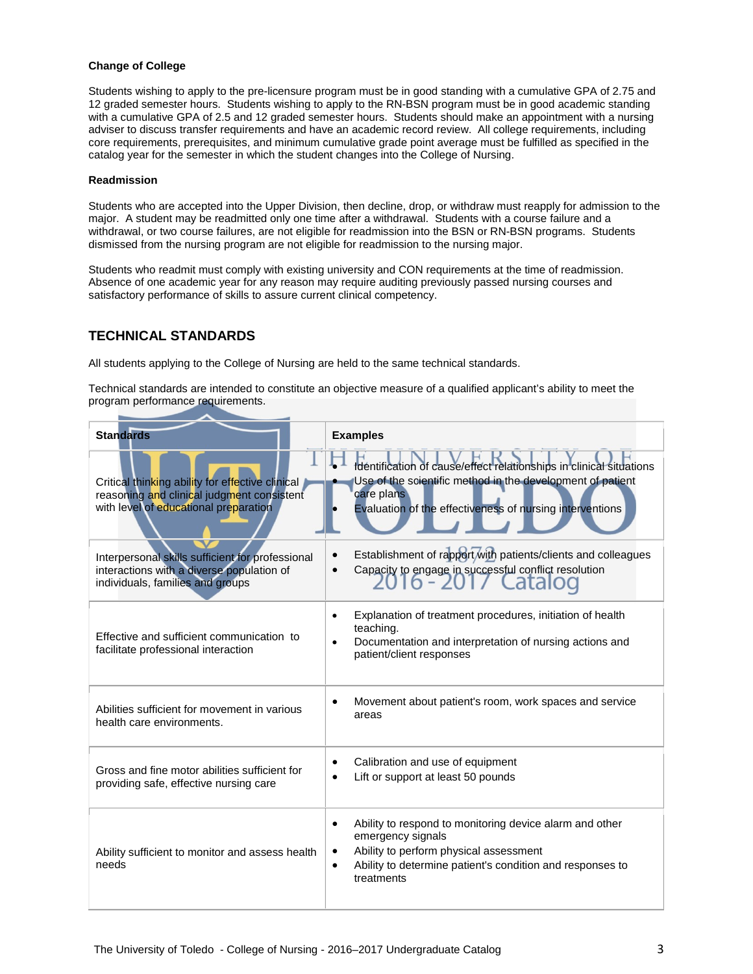#### **Change of College**

Students wishing to apply to the pre-licensure program must be in good standing with a cumulative GPA of 2.75 and 12 graded semester hours. Students wishing to apply to the RN-BSN program must be in good academic standing with a cumulative GPA of 2.5 and 12 graded semester hours. Students should make an appointment with a nursing adviser to discuss transfer requirements and have an academic record review. All college requirements, including core requirements, prerequisites, and minimum cumulative grade point average must be fulfilled as specified in the catalog year for the semester in which the student changes into the College of Nursing.

#### **Readmission**

Students who are accepted into the Upper Division, then decline, drop, or withdraw must reapply for admission to the major. A student may be readmitted only one time after a withdrawal. Students with a course failure and a withdrawal, or two course failures, are not eligible for readmission into the BSN or RN-BSN programs. Students dismissed from the nursing program are not eligible for readmission to the nursing major.

Students who readmit must comply with existing university and CON requirements at the time of readmission. Absence of one academic year for any reason may require auditing previously passed nursing courses and satisfactory performance of skills to assure current clinical competency.

# **TECHNICAL STANDARDS**

All students applying to the College of Nursing are held to the same technical standards.

Technical standards are intended to constitute an objective measure of a qualified applicant's ability to meet the program performance requirements.

| <b>Standards</b>                                                                                                                        | <b>Examples</b>                                                                                                                                                                                                                          |  |  |  |
|-----------------------------------------------------------------------------------------------------------------------------------------|------------------------------------------------------------------------------------------------------------------------------------------------------------------------------------------------------------------------------------------|--|--|--|
| Critical thinking ability for effective clinical<br>reasoning and clinical judgment consistent<br>with level of educational preparation | Identification of cause/effect relationships in clinical situations<br>Use of the scientific method in the development of patient<br>care plans<br>Evaluation of the effectiveness of nursing interventions                              |  |  |  |
| Interpersonal skills sufficient for professional<br>interactions with a diverse population of<br>individuals, families and groups       | Establishment of rapport with patients/clients and colleagues<br>Capacity to engage in successful conflict resolution<br><u> 16 - 2017 Catalog</u>                                                                                       |  |  |  |
| Effective and sufficient communication to<br>facilitate professional interaction                                                        | Explanation of treatment procedures, initiation of health<br>$\bullet$<br>teaching.<br>Documentation and interpretation of nursing actions and<br>$\bullet$<br>patient/client responses                                                  |  |  |  |
| Abilities sufficient for movement in various<br>health care environments.                                                               | Movement about patient's room, work spaces and service<br>areas                                                                                                                                                                          |  |  |  |
| Gross and fine motor abilities sufficient for<br>providing safe, effective nursing care                                                 | Calibration and use of equipment<br>٠<br>Lift or support at least 50 pounds<br>$\bullet$                                                                                                                                                 |  |  |  |
| Ability sufficient to monitor and assess health<br>needs                                                                                | Ability to respond to monitoring device alarm and other<br>$\bullet$<br>emergency signals<br>Ability to perform physical assessment<br>$\bullet$<br>Ability to determine patient's condition and responses to<br>$\bullet$<br>treatments |  |  |  |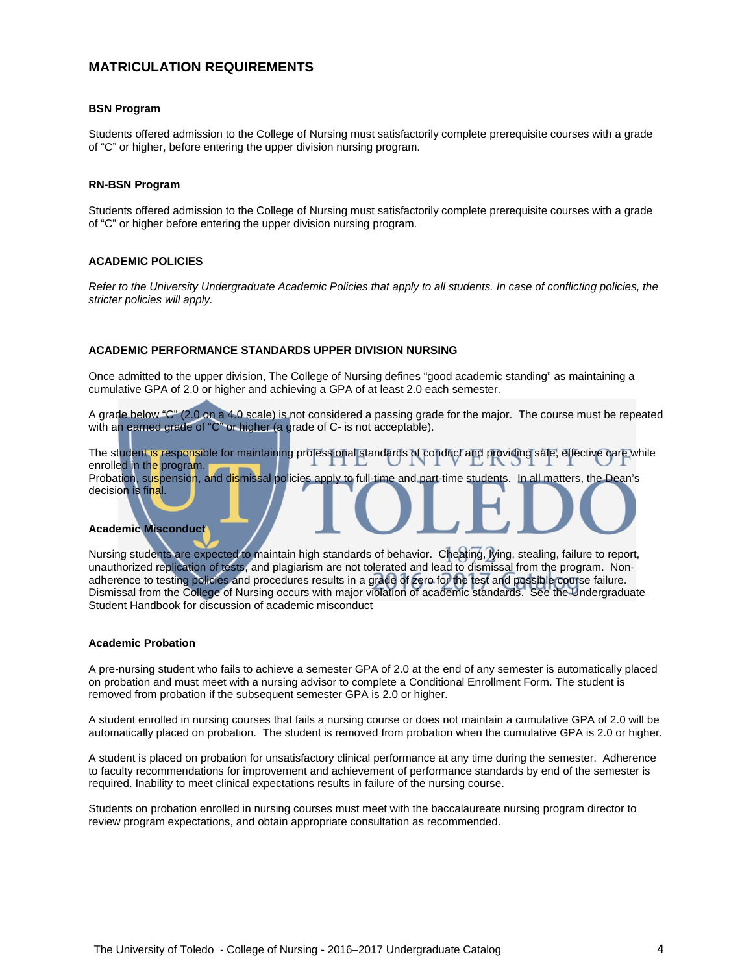# **MATRICULATION REQUIREMENTS**

#### **BSN Program**

Students offered admission to the College of Nursing must satisfactorily complete prerequisite courses with a grade of "C" or higher, before entering the upper division nursing program.

#### **RN-BSN Program**

Students offered admission to the College of Nursing must satisfactorily complete prerequisite courses with a grade of "C" or higher before entering the upper division nursing program.

#### **ACADEMIC POLICIES**

*Refer to the University Undergraduate Academic Policies that apply to all students. In case of conflicting policies, the stricter policies will apply.*

#### **ACADEMIC PERFORMANCE STANDARDS UPPER DIVISION NURSING**

Once admitted to the upper division, The College of Nursing defines "good academic standing" as maintaining a cumulative GPA of 2.0 or higher and achieving a GPA of at least 2.0 each semester.

A grade below "C" (2.0 on a 4.0 scale) is not considered a passing grade for the major. The course must be repeated with an earned grade of "C" or higher (a grade of C- is not acceptable).

The student is responsible for maintaining professional standards of conduct and providing safe, effective care while enrolled in the program. Probation, suspension, and dismissal policies apply to full-time and part-time students. In all matters, the Dean's decision is final.

#### **Academic Misconduct**

Nursing students are expected to maintain high standards of behavior. Cheating, lying, stealing, failure to report, unauthorized replication of tests, and plagiarism are not tolerated and lead to dismissal from the program. Nonadherence to testing policies and procedures results in a grade of zero for the test and possible course failure. Dismissal from the College of Nursing occurs with major violation of academic standards. See the Undergraduate Student Handbook for discussion of academic misconduct

#### **Academic Probation**

A pre-nursing student who fails to achieve a semester GPA of 2.0 at the end of any semester is automatically placed on probation and must meet with a nursing advisor to complete a Conditional Enrollment Form. The student is removed from probation if the subsequent semester GPA is 2.0 or higher.

A student enrolled in nursing courses that fails a nursing course or does not maintain a cumulative GPA of 2.0 will be automatically placed on probation. The student is removed from probation when the cumulative GPA is 2.0 or higher.

A student is placed on probation for unsatisfactory clinical performance at any time during the semester. Adherence to faculty recommendations for improvement and achievement of performance standards by end of the semester is required. Inability to meet clinical expectations results in failure of the nursing course.

Students on probation enrolled in nursing courses must meet with the baccalaureate nursing program director to review program expectations, and obtain appropriate consultation as recommended.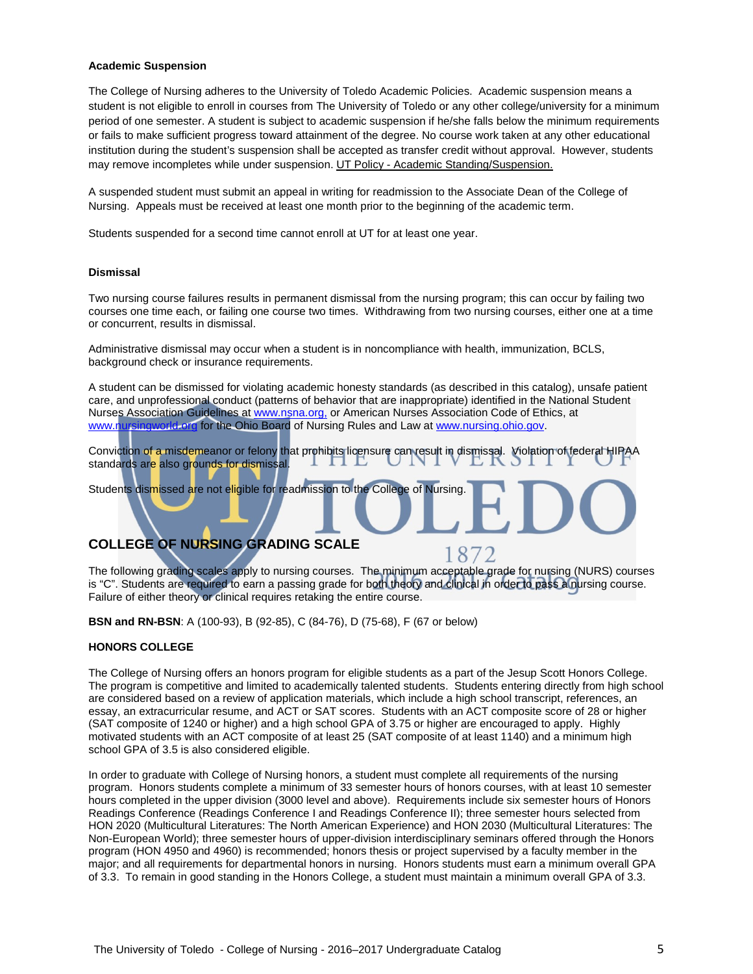#### **Academic Suspension**

The College of Nursing adheres to the University of Toledo Academic Policies. Academic suspension means a student is not eligible to enroll in courses from The University of Toledo or any other college/university for a minimum period of one semester. A student is subject to academic suspension if he/she falls below the minimum requirements or fails to make sufficient progress toward attainment of the degree. No course work taken at any other educational institution during the student's suspension shall be accepted as transfer credit without approval. However, students may remove incompletes while under suspension. UT Policy - [Academic Standing/Suspension.](http://www.utoledo.edu/policies/academic/undergraduate/pdfs/3364-71-01%20Academic%20standing.pdf)

A suspended student must submit an appeal in writing for readmission to the Associate Dean of the College of Nursing. Appeals must be received at least one month prior to the beginning of the academic term.

Students suspended for a second time cannot enroll at UT for at least one year.

#### **Dismissal**

Two nursing course failures results in permanent dismissal from the nursing program; this can occur by failing two courses one time each, or failing one course two times. Withdrawing from two nursing courses, either one at a time or concurrent, results in dismissal.

Administrative dismissal may occur when a student is in noncompliance with health, immunization, BCLS, background check or insurance requirements.

A student can be dismissed for violating academic honesty standards (as described in this catalog), unsafe patient care, and unprofessional conduct (patterns of behavior that are inappropriate) identified in the National Student Nurses Association Guidelines a[t www.nsna.org,](file://utad.utoledo.edu/DFS$/Volumes/dpasch/word/BSN-Undergrad%20Program%20Documents/www.nsna.org,%20) or American Nurses Association Code of Ethics, at [www.nursingworld.org](http://www.nursingworld.org/) for the Ohio Board of Nursing Rules and Law a[t www.nursing.ohio.gov.](http://www.nursing.ohio.gov/)

Conviction of a misdemeanor or felony that prohibits licensure can result in dismissal. Violation of federal HIPAA standards are also grounds for dismissal.

Students dismissed are not eligible for readmission to the College of Nursing.

# **COLLEGE OF NURSING GRADING SCALE**

The following grading scales apply to nursing courses. The minimum acceptable grade for nursing (NURS) courses is "C". Students are required to earn a passing grade for both theory and clinical in order to pass a nursing course. Failure of either theory or clinical requires retaking the entire course.

187

**BSN and RN-BSN**: A (100-93), B (92-85), C (84-76), D (75-68), F (67 or below)

#### **HONORS COLLEGE**

The College of Nursing offers an honors program for eligible students as a part of the Jesup Scott Honors College. The program is competitive and limited to academically talented students. Students entering directly from high school are considered based on a review of application materials, which include a high school transcript, references, an essay, an extracurricular resume, and ACT or SAT scores. Students with an ACT composite score of 28 or higher (SAT composite of 1240 or higher) and a high school GPA of 3.75 or higher are encouraged to apply. Highly motivated students with an ACT composite of at least 25 (SAT composite of at least 1140) and a minimum high school GPA of 3.5 is also considered eligible.

In order to graduate with College of Nursing honors, a student must complete all requirements of the nursing program. Honors students complete a minimum of 33 semester hours of honors courses, with at least 10 semester hours completed in the upper division (3000 level and above). Requirements include six semester hours of Honors Readings Conference (Readings Conference I and Readings Conference II); three semester hours selected from HON 2020 (Multicultural Literatures: The North American Experience) and HON 2030 (Multicultural Literatures: The Non-European World); three semester hours of upper-division interdisciplinary seminars offered through the Honors program (HON 4950 and 4960) is recommended; honors thesis or project supervised by a faculty member in the major; and all requirements for departmental honors in nursing. Honors students must earn a minimum overall GPA of 3.3. To remain in good standing in the Honors College, a student must maintain a minimum overall GPA of 3.3.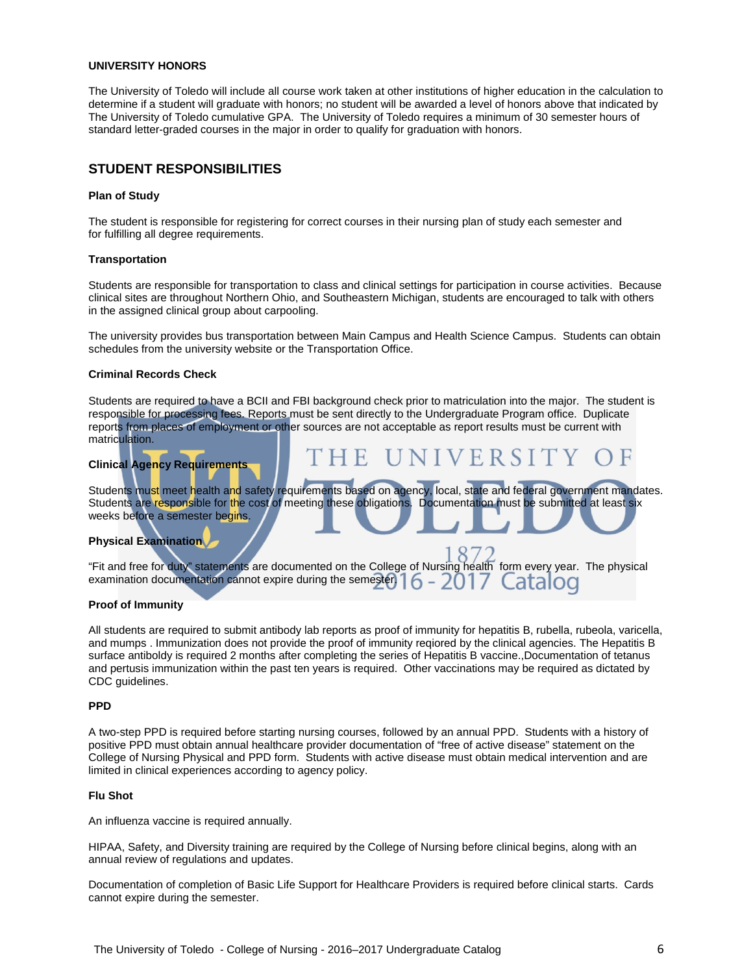#### **UNIVERSITY HONORS**

The University of Toledo will include all course work taken at other institutions of higher education in the calculation to determine if a student will graduate with honors; no student will be awarded a level of honors above that indicated by The University of Toledo cumulative GPA. The University of Toledo requires a minimum of 30 semester hours of standard letter-graded courses in the major in order to qualify for graduation with honors.

## **STUDENT RESPONSIBILITIES**

#### **Plan of Study**

The student is responsible for registering for correct courses in their nursing plan of study each semester and for fulfilling all degree requirements.

#### **Transportation**

Students are responsible for transportation to class and clinical settings for participation in course activities. Because clinical sites are throughout Northern Ohio, and Southeastern Michigan, students are encouraged to talk with others in the assigned clinical group about carpooling.

The university provides bus transportation between Main Campus and Health Science Campus. Students can obtain schedules from the university website or the Transportation Office.

#### **Criminal Records Check**

Students are required to have a BCII and FBI background check prior to matriculation into the major. The student is responsible for processing fees. Reports must be sent directly to the Undergraduate Program office. Duplicate reports from places of employment or other sources are not acceptable as report results must be current with matriculation.

#### **Clinical Agency Requirements**

Students must meet health and safety requirements based on agency, local, state and federal government mandates. Students are responsible for the cost of meeting these obligations. Documentation must be submitted at least six weeks before a semester begins.

VERSITY

#### **Physical Examination**

"Fit and free for duty" statements are documented on the College of Nursing health form every year. The physical examination documentation cannot expire during the semester.  $6 - 20$ atalod

#### **Proof of Immunity**

All students are required to submit antibody lab reports as proof of immunity for hepatitis B, rubella, rubeola, varicella, and mumps . Immunization does not provide the proof of immunity reqiored by the clinical agencies. The Hepatitis B surface antiboldy is required 2 months after completing the series of Hepatitis B vaccine.,Documentation of tetanus and pertusis immunization within the past ten years is required. Other vaccinations may be required as dictated by CDC guidelines.

#### **PPD**

A two-step PPD is required before starting nursing courses, followed by an annual PPD. Students with a history of positive PPD must obtain annual healthcare provider documentation of "free of active disease" statement on the College of Nursing Physical and PPD form. Students with active disease must obtain medical intervention and are limited in clinical experiences according to agency policy.

#### **Flu Shot**

An influenza vaccine is required annually.

HIPAA, Safety, and Diversity training are required by the College of Nursing before clinical begins, along with an annual review of regulations and updates.

Documentation of completion of Basic Life Support for Healthcare Providers is required before clinical starts. Cards cannot expire during the semester.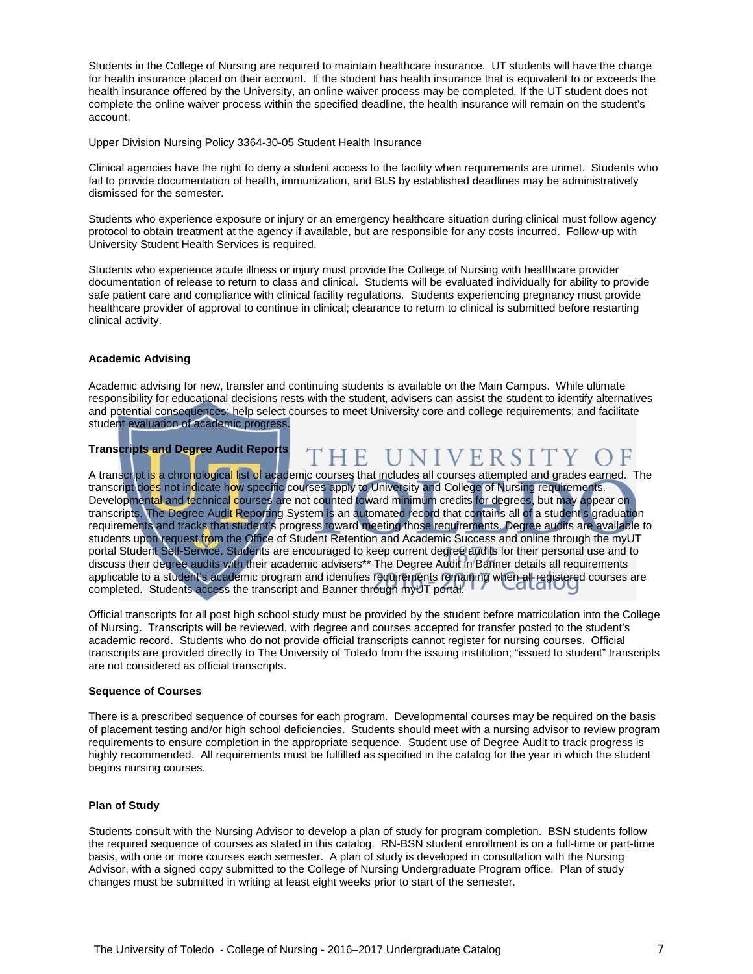Students in the College of Nursing are required to maintain healthcare insurance. UT students will have the charge for health insurance placed on their account. If the student has health insurance that is equivalent to or exceeds the health insurance offered by the University, an online waiver process may be completed. If the UT student does not complete the online waiver process within the specified deadline, the health insurance will remain on the student's account.

Upper Division Nursing Policy 3364-30-05 Student Health Insurance

Clinical agencies have the right to deny a student access to the facility when requirements are unmet. Students who fail to provide documentation of health, immunization, and BLS by established deadlines may be administratively dismissed for the semester.

Students who experience exposure or injury or an emergency healthcare situation during clinical must follow agency protocol to obtain treatment at the agency if available, but are responsible for any costs incurred. Follow-up with University Student Health Services is required.

Students who experience acute illness or injury must provide the College of Nursing with healthcare provider documentation of release to return to class and clinical. Students will be evaluated individually for ability to provide safe patient care and compliance with clinical facility regulations. Students experiencing pregnancy must provide healthcare provider of approval to continue in clinical; clearance to return to clinical is submitted before restarting clinical activity.

#### **Academic Advising**

Academic advising for new, transfer and continuing students is available on the Main Campus. While ultimate responsibility for educational decisions rests with the student, advisers can assist the student to identify alternatives and potential consequences; help select courses to meet University core and college requirements; and facilitate student evaluation of academic progress.

#### **Transcripts and Degree Audit Reports**

THE UNIVERSITY

A transcript is a chronological list of academic courses that includes all courses attempted and grades earned. The transcript do<mark>es</mark> not indicate how specific courses apply to University and College of Nursing requirements. Developmental and technical courses are not counted toward minimum credits for degrees, but may appear on transcripts. The Degree Audit Reporting System is an automated record that contains all of a student's graduation requirements and tracks that student's progress toward meeting those requirements. Degree audits are available to students upon request from the Office of Student Retention and Academic Success and online through the myUT portal Student Self-Service. Students are encouraged to keep current degree audits for their personal use and to discuss their degree audits with their academic advisers\*\* The Degree Audit in Banner details all requirements applicable to a student's academic program and identifies requirements remaining when all registered courses are completed. Students access the transcript and Banner through myUT portal.

Official transcripts for all post high school study must be provided by the student before matriculation into the College of Nursing. Transcripts will be reviewed, with degree and courses accepted for transfer posted to the student's academic record. Students who do not provide official transcripts cannot register for nursing courses. Official transcripts are provided directly to The University of Toledo from the issuing institution; "issued to student" transcripts are not considered as official transcripts.

#### **Sequence of Courses**

There is a prescribed sequence of courses for each program. Developmental courses may be required on the basis of placement testing and/or high school deficiencies. Students should meet with a nursing advisor to review program requirements to ensure completion in the appropriate sequence. Student use of Degree Audit to track progress is highly recommended. All requirements must be fulfilled as specified in the catalog for the year in which the student begins nursing courses.

#### **Plan of Study**

Students consult with the Nursing Advisor to develop a plan of study for program completion. BSN students follow the required sequence of courses as stated in this catalog. RN-BSN student enrollment is on a full-time or part-time basis, with one or more courses each semester. A plan of study is developed in consultation with the Nursing Advisor, with a signed copy submitted to the College of Nursing Undergraduate Program office. Plan of study changes must be submitted in writing at least eight weeks prior to start of the semester.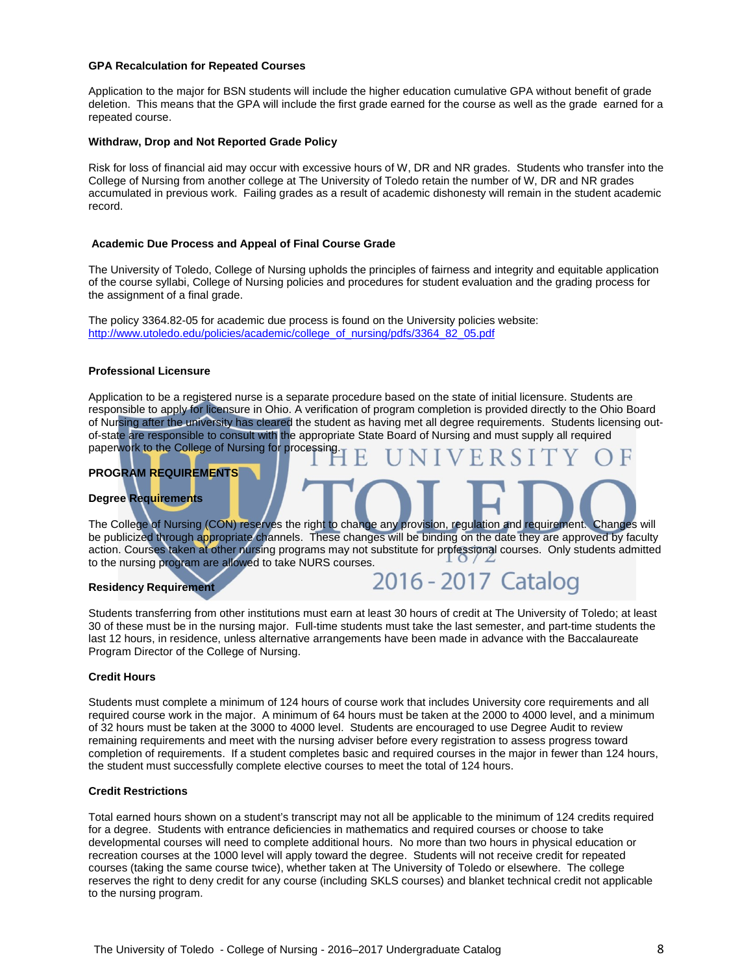#### **GPA Recalculation for Repeated Courses**

Application to the major for BSN students will include the higher education cumulative GPA without benefit of grade deletion. This means that the GPA will include the first grade earned for the course as well as the grade earned for a repeated course.

#### **Withdraw, Drop and Not Reported Grade Policy**

Risk for loss of financial aid may occur with excessive hours of W, DR and NR grades. Students who transfer into the College of Nursing from another college at The University of Toledo retain the number of W, DR and NR grades accumulated in previous work. Failing grades as a result of academic dishonesty will remain in the student academic record.

#### **Academic Due Process and Appeal of Final Course Grade**

The University of Toledo, College of Nursing upholds the principles of fairness and integrity and equitable application of the course syllabi, College of Nursing policies and procedures for student evaluation and the grading process for the assignment of a final grade.

The policy 3364.82-05 for academic due process is found on the University policies website: [http://www.utoledo.edu/policies/academic/college\\_of\\_nursing/pdfs/3364\\_82\\_05.pdf](http://www.utoledo.edu/policies/academic/college_of_nursing/pdfs/3364_82_05.pdf)

#### **Professional Licensure**

Application to be a registered nurse is a separate procedure based on the state of initial licensure. Students are responsible to apply for licensure in Ohio. A verification of program completion is provided directly to the Ohio Board of Nursing after the university has cleared the student as having met all degree requirements. Students licensing outof-state are responsible to consult with the appropriate State Board of Nursing and must supply all required paperwork to the College of Nursing for processing.

## **PROGRAM REQUIREMENTS**

## **Degree Requirements**

The College of Nursing (CON) reserves the right to change any provision, regulation and requirement. Changes will be publicized through appropriate channels. These changes will be binding on the date they are approved by faculty action. Courses taken at other nursing programs may not substitute for professional courses. Only students admitted to the nursing program are allowed to take NURS courses.

#### **Residency Requirement**

|  |  |  |  | 2016 - 2017 Catalog |  |
|--|--|--|--|---------------------|--|
|--|--|--|--|---------------------|--|

Students transferring from other institutions must earn at least 30 hours of credit at The University of Toledo; at least 30 of these must be in the nursing major. Full-time students must take the last semester, and part-time students the last 12 hours, in residence, unless alternative arrangements have been made in advance with the Baccalaureate Program Director of the College of Nursing.

#### **Credit Hours**

Students must complete a minimum of 124 hours of course work that includes University core requirements and all required course work in the major. A minimum of 64 hours must be taken at the 2000 to 4000 level, and a minimum of 32 hours must be taken at the 3000 to 4000 level. Students are encouraged to use Degree Audit to review remaining requirements and meet with the nursing adviser before every registration to assess progress toward completion of requirements. If a student completes basic and required courses in the major in fewer than 124 hours, the student must successfully complete elective courses to meet the total of 124 hours.

#### **Credit Restrictions**

Total earned hours shown on a student's transcript may not all be applicable to the minimum of 124 credits required for a degree. Students with entrance deficiencies in mathematics and required courses or choose to take developmental courses will need to complete additional hours. No more than two hours in physical education or recreation courses at the 1000 level will apply toward the degree. Students will not receive credit for repeated courses (taking the same course twice), whether taken at The University of Toledo or elsewhere. The college reserves the right to deny credit for any course (including SKLS courses) and blanket technical credit not applicable to the nursing program.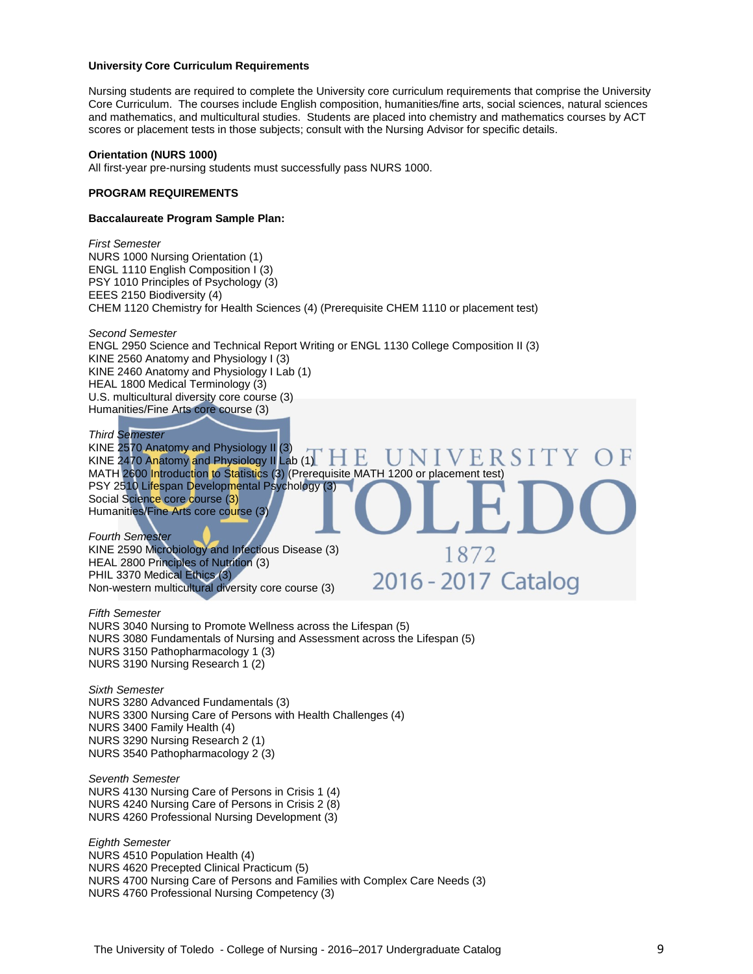#### **University Core Curriculum Requirements**

Nursing students are required to complete the University core curriculum requirements that comprise the University Core Curriculum. The courses include English composition, humanities/fine arts, social sciences, natural sciences and mathematics, and multicultural studies. Students are placed into chemistry and mathematics courses by ACT scores or placement tests in those subjects; consult with the Nursing Advisor for specific details.

#### **Orientation (NURS 1000)**

All first-year pre-nursing students must successfully pass NURS 1000.

#### **PROGRAM REQUIREMENTS**

#### **Baccalaureate Program Sample Plan:**

*First Semester* NURS 1000 Nursing Orientation (1) ENGL 1110 English Composition I (3) PSY 1010 Principles of Psychology (3) EEES 2150 Biodiversity (4) CHEM 1120 Chemistry for Health Sciences (4) (Prerequisite CHEM 1110 or placement test)

*Second Semester* ENGL 2950 Science and Technical Report Writing or ENGL 1130 College Composition II (3) KINE 2560 Anatomy and Physiology I (3) KINE 2460 Anatomy and Physiology I Lab (1) HEAL 1800 Medical Terminology (3) U.S. multicultural diversity core course (3) Humanities/Fine Arts core course (3)

*Third Semester* KINE 2570 Anatomy and Physiology II (3) S I KINE 2470 Anatomy and Physiology II Lab (1). MATH 2600 Introduction to Statistics (3) (Prerequisite MATH 1200 or placement test) PSY 2510 Lifespan Developmental Psychology (3) Social Science core course (3) Humanities/Fine Arts core course (3)

1872

2016 - 2017 Catalog

*Fourth Semester* KINE 2590 Microbiology and Infectious Disease (3) HEAL 2800 Principles of Nutrition (3) PHIL 3370 Medical Ethics (3) Non-western multicultural diversity core course (3)

*Fifth Semester* NURS 3040 Nursing to Promote Wellness across the Lifespan (5) NURS 3080 Fundamentals of Nursing and Assessment across the Lifespan (5) NURS 3150 Pathopharmacology 1 (3) NURS 3190 Nursing Research 1 (2)

*Sixth Semester* NURS 3280 Advanced Fundamentals (3) NURS 3300 Nursing Care of Persons with Health Challenges (4) NURS 3400 Family Health (4) NURS 3290 Nursing Research 2 (1) NURS 3540 Pathopharmacology 2 (3)

*Seventh Semester* NURS 4130 Nursing Care of Persons in Crisis 1 (4) NURS 4240 Nursing Care of Persons in Crisis 2 (8) NURS 4260 Professional Nursing Development (3)

*Eighth Semester* NURS 4510 Population Health (4) NURS 4620 Precepted Clinical Practicum (5) NURS 4700 Nursing Care of Persons and Families with Complex Care Needs (3) NURS 4760 Professional Nursing Competency (3)